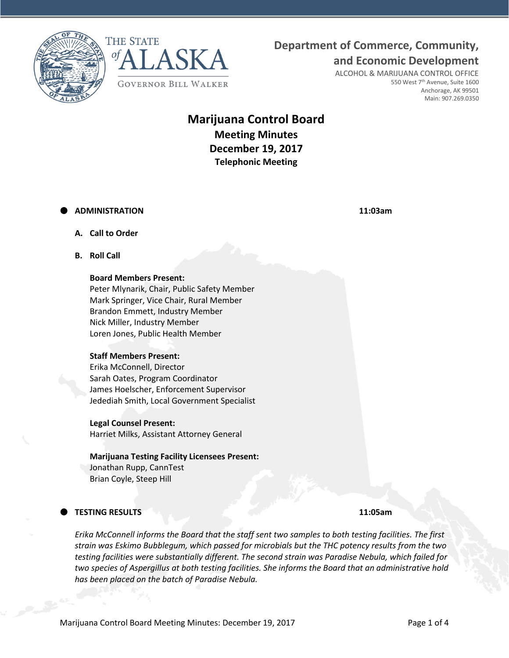**Department of Commerce, Community,**





ALCOHOL & MARIJUANA CONTROL OFFICE 550 West 7<sup>th</sup> Avenue, Suite 1600 Anchorage, AK 99501 Main: 907.269.0350

**and Economic Development**

# **Marijuana Control Board Meeting Minutes December 19, 2017 Telephonic Meeting**

### **ADMINISTRATION 11:03am**

- **A. Call to Order**
- **B. Roll Call**

#### **Board Members Present:**

Peter Mlynarik, Chair, Public Safety Member Mark Springer, Vice Chair, Rural Member Brandon Emmett, Industry Member Nick Miller, Industry Member Loren Jones, Public Health Member

#### **Staff Members Present:**

Erika McConnell, Director Sarah Oates, Program Coordinator James Hoelscher, Enforcement Supervisor Jedediah Smith, Local Government Specialist

#### **Legal Counsel Present:**

Harriet Milks, Assistant Attorney General

# **Marijuana Testing Facility Licensees Present:**

Jonathan Rupp, CannTest Brian Coyle, Steep Hill

## **TESTING RESULTS 11:05am**

*Erika McConnell informs the Board that the staff sent two samples to both testing facilities. The first strain was Eskimo Bubblegum, which passed for microbials but the THC potency results from the two testing facilities were substantially different. The second strain was Paradise Nebula, which failed for two species of Aspergillus at both testing facilities. She informs the Board that an administrative hold has been placed on the batch of Paradise Nebula.*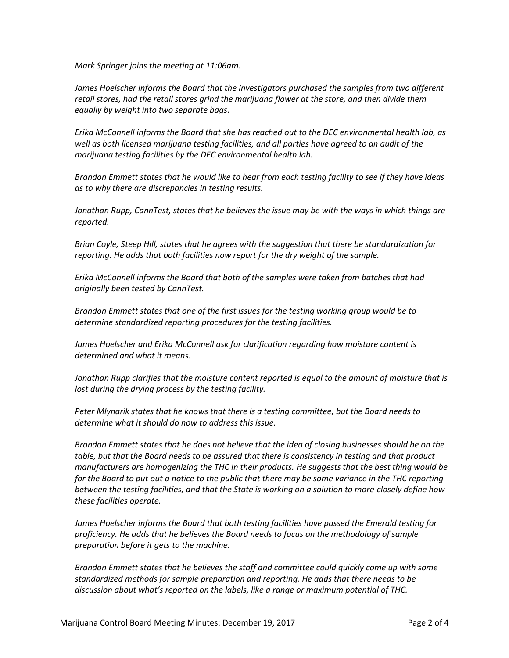*Mark Springer joins the meeting at 11:06am.*

*James Hoelscher informs the Board that the investigators purchased the samples from two different retail stores, had the retail stores grind the marijuana flower at the store, and then divide them equally by weight into two separate bags.*

*Erika McConnell informs the Board that she has reached out to the DEC environmental health lab, as well as both licensed marijuana testing facilities, and all parties have agreed to an audit of the marijuana testing facilities by the DEC environmental health lab.*

*Brandon Emmett states that he would like to hear from each testing facility to see if they have ideas as to why there are discrepancies in testing results.*

*Jonathan Rupp, CannTest, states that he believes the issue may be with the ways in which things are reported.*

*Brian Coyle, Steep Hill, states that he agrees with the suggestion that there be standardization for reporting. He adds that both facilities now report for the dry weight of the sample.*

*Erika McConnell informs the Board that both of the samples were taken from batches that had originally been tested by CannTest.*

*Brandon Emmett states that one of the first issues for the testing working group would be to determine standardized reporting procedures for the testing facilities.*

*James Hoelscher and Erika McConnell ask for clarification regarding how moisture content is determined and what it means.*

*Jonathan Rupp clarifies that the moisture content reported is equal to the amount of moisture that is lost during the drying process by the testing facility.*

*Peter Mlynarik states that he knows that there is a testing committee, but the Board needs to determine what it should do now to address this issue.*

*Brandon Emmett states that he does not believe that the idea of closing businesses should be on the table, but that the Board needs to be assured that there is consistency in testing and that product manufacturers are homogenizing the THC in their products. He suggests that the best thing would be for the Board to put out a notice to the public that there may be some variance in the THC reporting between the testing facilities, and that the State is working on a solution to more-closely define how these facilities operate.*

*James Hoelscher informs the Board that both testing facilities have passed the Emerald testing for proficiency. He adds that he believes the Board needs to focus on the methodology of sample preparation before it gets to the machine.*

*Brandon Emmett states that he believes the staff and committee could quickly come up with some standardized methods for sample preparation and reporting. He adds that there needs to be discussion about what's reported on the labels, like a range or maximum potential of THC.*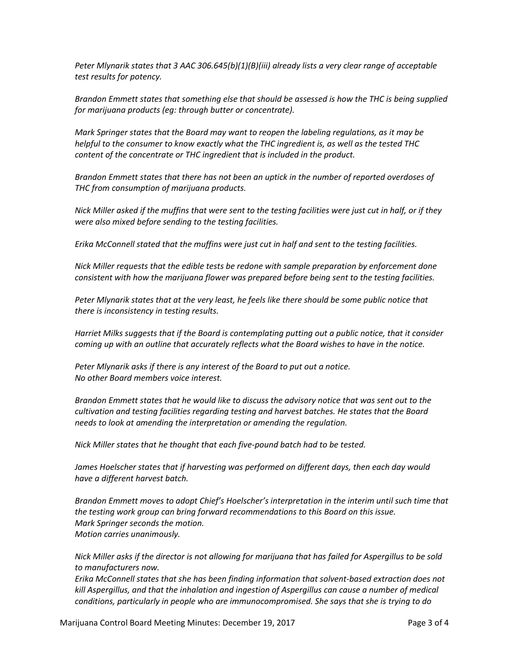*Peter Mlynarik states that 3 AAC 306.645(b)(1)(B)(iii) already lists a very clear range of acceptable test results for potency.*

*Brandon Emmett states that something else that should be assessed is how the THC is being supplied for marijuana products (eg: through butter or concentrate).*

*Mark Springer states that the Board may want to reopen the labeling regulations, as it may be helpful to the consumer to know exactly what the THC ingredient is, as well as the tested THC content of the concentrate or THC ingredient that is included in the product.*

*Brandon Emmett states that there has not been an uptick in the number of reported overdoses of THC from consumption of marijuana products.*

*Nick Miller asked if the muffins that were sent to the testing facilities were just cut in half, or if they were also mixed before sending to the testing facilities.*

*Erika McConnell stated that the muffins were just cut in half and sent to the testing facilities.*

*Nick Miller requests that the edible tests be redone with sample preparation by enforcement done consistent with how the marijuana flower was prepared before being sent to the testing facilities.*

*Peter Mlynarik states that at the very least, he feels like there should be some public notice that there is inconsistency in testing results.*

*Harriet Milks suggests that if the Board is contemplating putting out a public notice, that it consider coming up with an outline that accurately reflects what the Board wishes to have in the notice.*

*Peter Mlynarik asks if there is any interest of the Board to put out a notice. No other Board members voice interest.*

*Brandon Emmett states that he would like to discuss the advisory notice that was sent out to the cultivation and testing facilities regarding testing and harvest batches. He states that the Board needs to look at amending the interpretation or amending the regulation.*

*Nick Miller states that he thought that each five-pound batch had to be tested.*

*James Hoelscher states that if harvesting was performed on different days, then each day would have a different harvest batch.*

*Brandon Emmett moves to adopt Chief's Hoelscher's interpretation in the interim until such time that the testing work group can bring forward recommendations to this Board on this issue. Mark Springer seconds the motion. Motion carries unanimously.*

*Nick Miller asks if the director is not allowing for marijuana that has failed for Aspergillus to be sold to manufacturers now.*

*Erika McConnell states that she has been finding information that solvent-based extraction does not kill Aspergillus, and that the inhalation and ingestion of Aspergillus can cause a number of medical conditions, particularly in people who are immunocompromised. She says that she is trying to do*